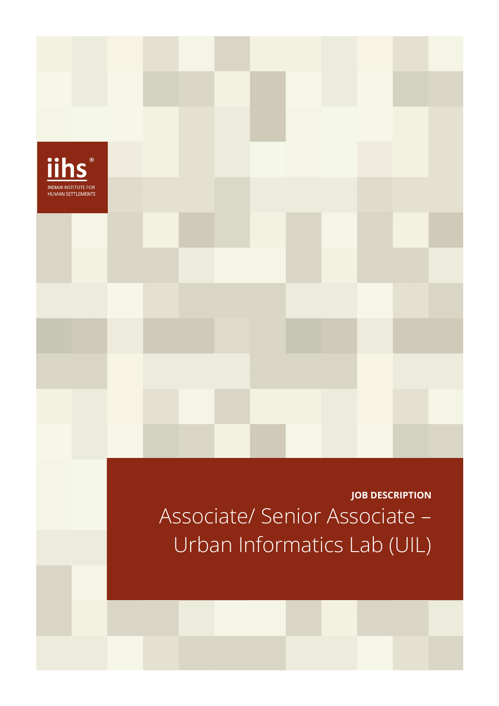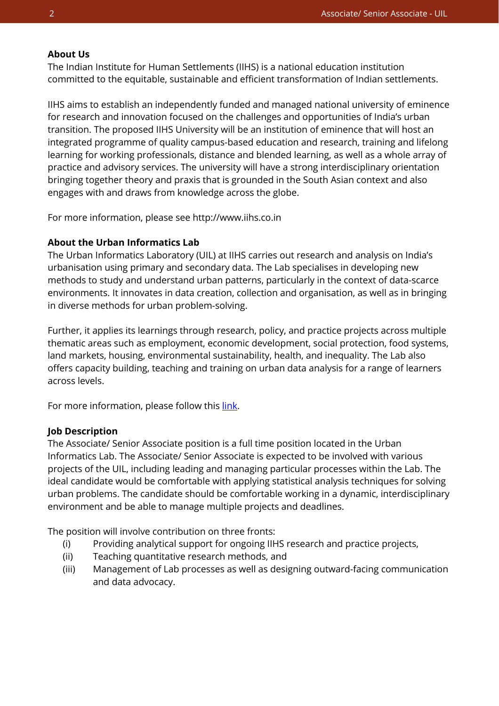#### **About Us**

The Indian Institute for Human Settlements (IIHS) is a national education institution committed to the equitable, sustainable and efficient transformation of Indian settlements.

IIHS aims to establish an independently funded and managed national university of eminence for research and innovation focused on the challenges and opportunities of India's urban transition. The proposed IIHS University will be an institution of eminence that will host an integrated programme of quality campus-based education and research, training and lifelong learning for working professionals, distance and blended learning, as well as a whole array of practice and advisory services. The university will have a strong interdisciplinary orientation bringing together theory and praxis that is grounded in the South Asian context and also engages with and draws from knowledge across the globe.

For more information, please see http://www.iihs.co.in

### **About the Urban Informatics Lab**

The Urban Informatics Laboratory (UIL) at IIHS carries out research and analysis on India's urbanisation using primary and secondary data. The Lab specialises in developing new methods to study and understand urban patterns, particularly in the context of data-scarce environments. It innovates in data creation, collection and organisation, as well as in bringing in diverse methods for urban problem-solving.

Further, it applies its learnings through research, policy, and practice projects across multiple thematic areas such as employment, economic development, social protection, food systems, land markets, housing, environmental sustainability, health, and inequality. The Lab also offers capacity building, teaching and training on urban data analysis for a range of learners across levels.

For more information, please follow thi[s link.](https://iihs.co.in/research/labs/urban-informatics-lab/)

### **Job Description**

The Associate/ Senior Associate position is a full time position located in the Urban Informatics Lab. The Associate/ Senior Associate is expected to be involved with various projects of the UIL, including leading and managing particular processes within the Lab. The ideal candidate would be comfortable with applying statistical analysis techniques for solving urban problems. The candidate should be comfortable working in a dynamic, interdisciplinary environment and be able to manage multiple projects and deadlines.

The position will involve contribution on three fronts:

- (i) Providing analytical support for ongoing IIHS research and practice projects,
- (ii) Teaching quantitative research methods, and
- (iii) Management of Lab processes as well as designing outward-facing communication and data advocacy.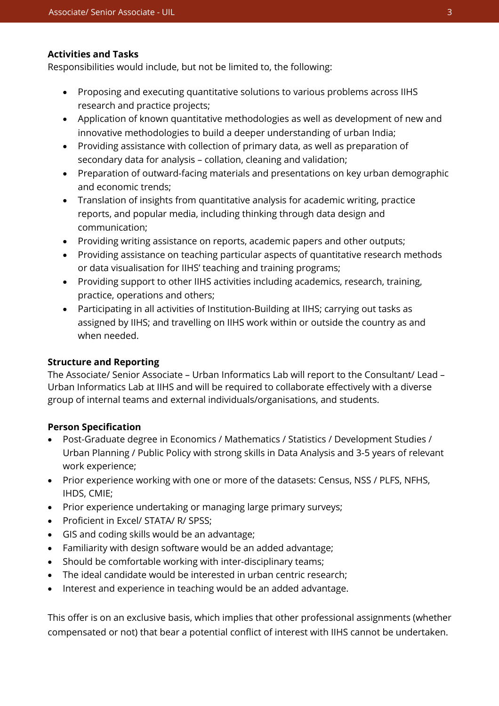### **Activities and Tasks**

Responsibilities would include, but not be limited to, the following:

- Proposing and executing quantitative solutions to various problems across IIHS research and practice projects;
- Application of known quantitative methodologies as well as development of new and innovative methodologies to build a deeper understanding of urban India;
- Providing assistance with collection of primary data, as well as preparation of secondary data for analysis – collation, cleaning and validation;
- Preparation of outward-facing materials and presentations on key urban demographic and economic trends;
- Translation of insights from quantitative analysis for academic writing, practice reports, and popular media, including thinking through data design and communication;
- Providing writing assistance on reports, academic papers and other outputs;
- Providing assistance on teaching particular aspects of quantitative research methods or data visualisation for IIHS' teaching and training programs;
- Providing support to other IIHS activities including academics, research, training, practice, operations and others;
- Participating in all activities of Institution-Building at IIHS; carrying out tasks as assigned by IIHS; and travelling on IIHS work within or outside the country as and when needed.

# **Structure and Reporting**

The Associate/ Senior Associate – Urban Informatics Lab will report to the Consultant/ Lead – Urban Informatics Lab at IIHS and will be required to collaborate effectively with a diverse group of internal teams and external individuals/organisations, and students.

### **Person Specification**

- Post-Graduate degree in Economics / Mathematics / Statistics / Development Studies / Urban Planning / Public Policy with strong skills in Data Analysis and 3-5 years of relevant work experience;
- Prior experience working with one or more of the datasets: Census, NSS / PLFS, NFHS, IHDS, CMIE;
- Prior experience undertaking or managing large primary surveys;
- Proficient in Excel/ STATA/ R/ SPSS;
- GIS and coding skills would be an advantage;
- Familiarity with design software would be an added advantage;
- Should be comfortable working with inter-disciplinary teams;
- The ideal candidate would be interested in urban centric research;
- Interest and experience in teaching would be an added advantage.

This offer is on an exclusive basis, which implies that other professional assignments (whether compensated or not) that bear a potential conflict of interest with IIHS cannot be undertaken.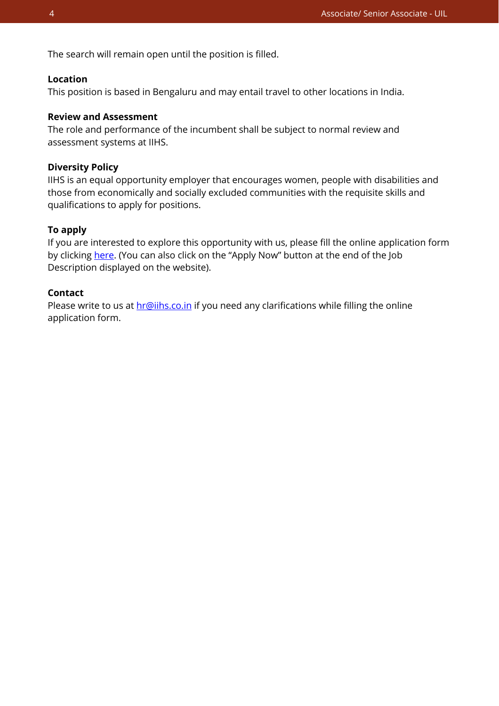The search will remain open until the position is filled.

### **Location**

This position is based in Bengaluru and may entail travel to other locations in India.

## **Review and Assessment**

The role and performance of the incumbent shall be subject to normal review and assessment systems at IIHS.

#### **Diversity Policy**

IIHS is an equal opportunity employer that encourages women, people with disabilities and those from economically and socially excluded communities with the requisite skills and qualifications to apply for positions.

### **To apply**

If you are interested to explore this opportunity with us, please fill the online application form by clicking [here.](https://iihs.co.in/job-application/) (You can also click on the "Apply Now" button at the end of the Job Description displayed on the website).

## **Contact**

Please write to us at **hr@iihs.co.in** if you need any clarifications while filling the online application form.